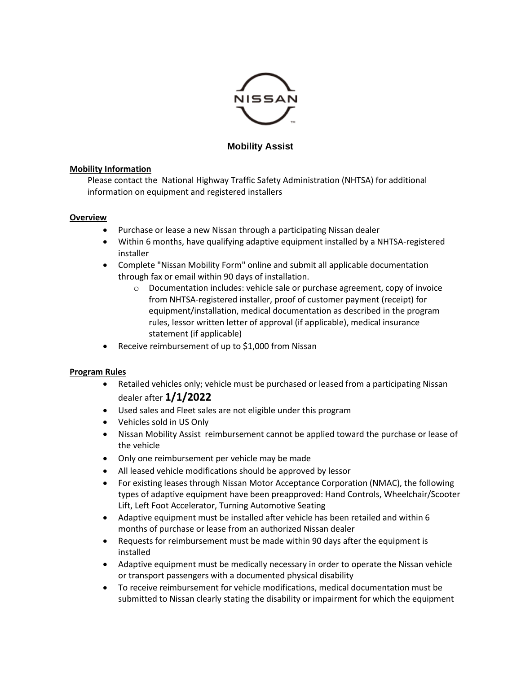

# **Mobility Assist**

#### **Mobility Information**

Please contact the National Highway Traffic Safety Administration (NHTSA) for additional information on equipment and registered installers

#### **Overview**

- Purchase or lease a new Nissan through a participating Nissan dealer
- Within 6 months, have qualifying adaptive equipment installed by a NHTSA-registered installer
- Complete "Nissan Mobility Form" online and submit all applicable documentation through fax or email within 90 days of installation.
	- o Documentation includes: vehicle sale or purchase agreement, copy of invoice from NHTSA-registered installer, proof of customer payment (receipt) for equipment/installation, medical documentation as described in the program rules, lessor written letter of approval (if applicable), medical insurance statement (if applicable)
- Receive reimbursement of up to \$1,000 from Nissan

# **Program Rules**

- Retailed vehicles only; vehicle must be purchased or leased from a participating Nissan dealer after **1/1/2022**
- Used sales and Fleet sales are not eligible under this program
- Vehicles sold in US Only
- Nissan Mobility Assist reimbursement cannot be applied toward the purchase or lease of the vehicle
- Only one reimbursement per vehicle may be made
- All leased vehicle modifications should be approved by lessor
- For existing leases through Nissan Motor Acceptance Corporation (NMAC), the following types of adaptive equipment have been preapproved: Hand Controls, Wheelchair/Scooter Lift, Left Foot Accelerator, Turning Automotive Seating
- Adaptive equipment must be installed after vehicle has been retailed and within 6 months of purchase or lease from an authorized Nissan dealer
- Requests for reimbursement must be made within 90 days after the equipment is installed
- Adaptive equipment must be medically necessary in order to operate the Nissan vehicle or transport passengers with a documented physical disability
- To receive reimbursement for vehicle modifications, medical documentation must be submitted to Nissan clearly stating the disability or impairment for which the equipment